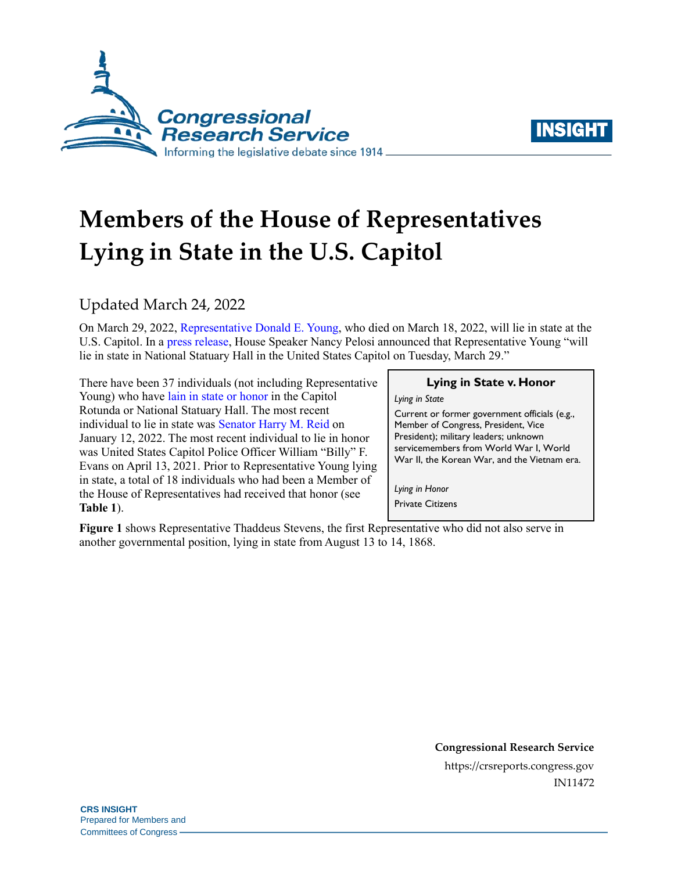



# **Members of the House of Representatives Lying in State in the U.S. Capitol**

### Updated March 24, 2022

On March 29, 2022[, Representative Donald E. Young,](https://bioguide.congress.gov/search/bio/Y000033) who died on March 18, 2022, will lie in state at the U.S. Capitol. In [a press release,](https://www.speaker.gov/newsroom/32122) House Speaker Nancy Pelosi announced that Representative Young "will lie in state in National Statuary Hall in the United States Capitol on Tuesday, March 29."

There have been 37 individuals (not including Representative Young) who have [lain in state or honor](https://history.house.gov/Institution/Lie-In-State/Lie-In-State/) in the Capitol Rotunda or National Statuary Hall. The most recent individual to lie in state was [Senator Harry M. Reid](https://bioguide.congress.gov/search/bio/R000146) on January 12, 2022. The most recent individual to lie in honor was United States Capitol Police Officer William "Billy" F. Evans on April 13, 2021. Prior to Representative Young lying in state, a total of 18 individuals who had been a Member of the House of Representatives had received that honor (see **[Table 1](#page-2-0)**).

#### **Lying in State v. Honor**

*Lying in State*

Current or former government officials (e.g., Member of Congress, President, Vice President); military leaders; unknown servicemembers from World War I, World War II, the Korean War, and the Vietnam era.

*Lying in Honor* Private Citizens

**[Figure 1](#page-1-0)** shows Representative Thaddeus Stevens, the first Representative who did not also serve in another governmental position, lying in state from August 13 to 14, 1868.

> **Congressional Research Service** https://crsreports.congress.gov IN11472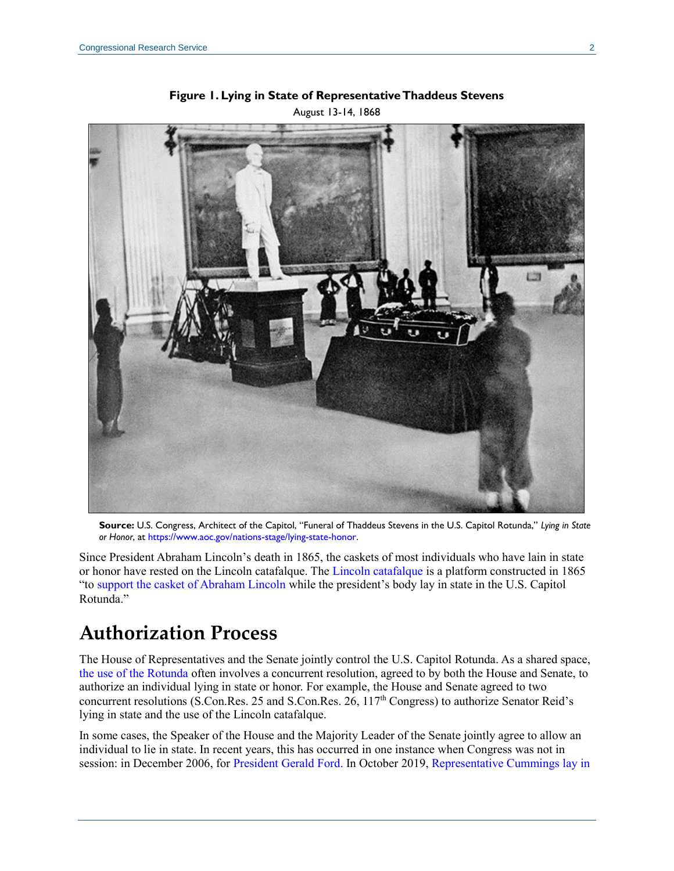<span id="page-1-0"></span>

**Figure 1. Lying in State of Representative Thaddeus Stevens** August 13-14, 1868

**Source:** U.S. Congress, Architect of the Capitol, "Funeral of Thaddeus Stevens in the U.S. Capitol Rotunda," *Lying in State or Honor*, at [https://www.aoc.gov/nations-stage/lying-state-honor.](https://www.aoc.gov/nations-stage/lying-state-honor) 

Since President Abraham Lincoln's death in 1865, the caskets of most individuals who have lain in state or honor have rested on the Lincoln catafalque. The [Lincoln catafalque](https://www.aoc.gov/nations-stage/lincoln-catafalque) is a platform constructed in 1865 "to [support the casket of Abraham Lincoln](https://www.aoc.gov/blog/lincoln-catafalque-us-capitol) while the president's body lay in state in the U.S. Capitol Rotunda."

# **Authorization Process**

The House of Representatives and the Senate jointly control the U.S. Capitol Rotunda. As a shared space, [the use of the Rotunda](https://crsreports.congress.gov/product/pdf/RL/RL34619) often involves a concurrent resolution, agreed to by both the House and Senate, to authorize an individual lying in state or honor. For example, the House and Senate agreed to two concurrent resolutions [\(S.Con.Res. 25](http://www.congress.gov/cgi-lis/bdquery/z?d117:S.Con.Res.25:) and [S.Con.Res. 26,](http://www.congress.gov/cgi-lis/bdquery/z?d117:S.Con.Res.26:) 117<sup>th</sup> Congress) to authorize Senator Reid's lying in state and the use of the Lincoln catafalque.

In some cases, the Speaker of the House and the Majority Leader of the Senate jointly agree to allow an individual to lie in state. In recent years, this has occurred in one instance when Congress was not in session: in December 2006, for [President Gerald Ford.](https://history.house.gov/HistoricalHighlight/Detail/35300) In October 2019, [Representative Cummings](https://history.house.gov/People/Detail/11684) [lay in](https://www.speaker.gov/newsroom/101819-0)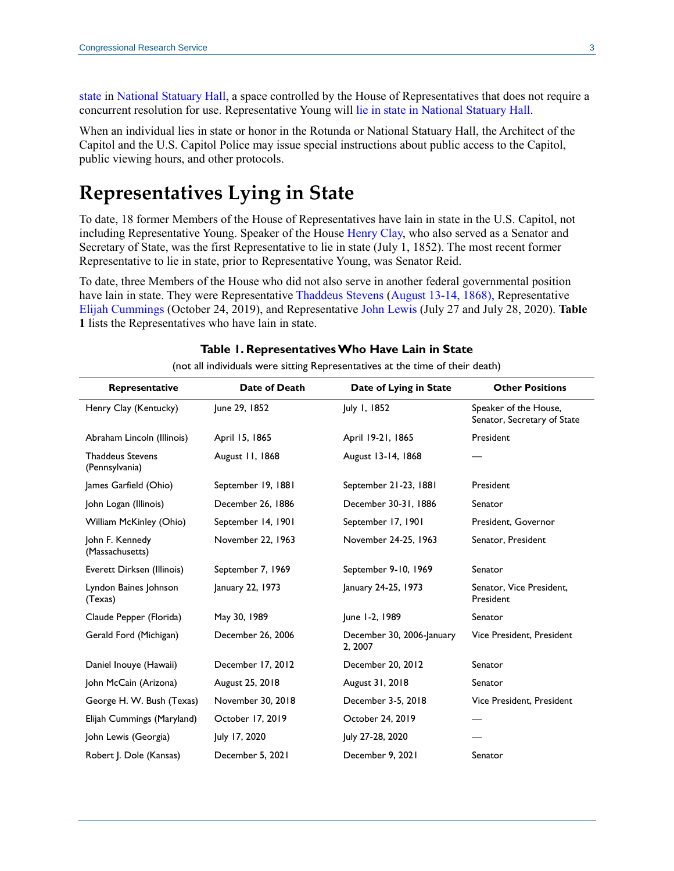[state](https://www.speaker.gov/newsroom/101819-0) in [National Statuary Hall,](https://crsreports.congress.gov/product/pdf/R/R41857) a space controlled by the House of Representatives that does not require a concurrent resolution for use. Representative Young will [lie in state in National Statuary Hall.](https://www.speaker.gov/newsroom/32122)

When an individual lies in state or honor in the Rotunda or National Statuary Hall, the Architect of the Capitol and the U.S. Capitol Police may issue special instructions about public access to the Capitol, public viewing hours, and other protocols.

## **Representatives Lying in State**

To date, 18 former Members of the House of Representatives have lain in state in the U.S. Capitol, not including Representative Young. Speaker of the House [Henry Clay,](https://bioguide.congress.gov/search/bio/C000482) who also served as a Senator and Secretary of State, was the first Representative to lie in state (July 1, 1852). The most recent former Representative to lie in state, prior to Representative Young, was Senator Reid.

To date, three Members of the House who did not also serve in another federal governmental position have lain in state. They were Representative [Thaddeus Stevens](http://bioguide.congress.gov/scripts/biodisplay.pl?index=S000887) [\(August 13-14, 1868\)](https://history.house.gov/Historical-Highlights/1851-1900/The-funeral-of-Representative-Thaddeus-Stevens-of-Pennsylvania/), Representative [Elijah Cummings](https://bioguide.congress.gov/search/bio/C000984) (October 24, 2019), and Representative [John Lewis](https://bioguide.congress.gov/search/bio/L000287) (July 27 and July 28, 2020). **[Table](#page-2-0)  [1](#page-2-0)** lists the Representatives who have lain in state.

<span id="page-2-0"></span>

| Representative                            | Date of Death      | Date of Lying in State               | <b>Other Positions</b>                               |
|-------------------------------------------|--------------------|--------------------------------------|------------------------------------------------------|
| Henry Clay (Kentucky)                     | June 29, 1852      | July 1, 1852                         | Speaker of the House,<br>Senator, Secretary of State |
| Abraham Lincoln (Illinois)                | April 15, 1865     | April 19-21, 1865                    | President                                            |
| <b>Thaddeus Stevens</b><br>(Pennsylvania) | August 11, 1868    | August 13-14, 1868                   |                                                      |
| James Garfield (Ohio)                     | September 19, 1881 | September 21-23, 1881                | President                                            |
| John Logan (Illinois)                     | December 26, 1886  | December 30-31, 1886                 | Senator                                              |
| William McKinley (Ohio)                   | September 14, 1901 | September 17, 1901                   | President, Governor                                  |
| John F. Kennedy<br>(Massachusetts)        | November 22, 1963  | November 24-25, 1963                 | Senator, President                                   |
| Everett Dirksen (Illinois)                | September 7, 1969  | September 9-10, 1969                 | Senator                                              |
| Lyndon Baines Johnson<br>(Texas)          | January 22, 1973   | January 24-25, 1973                  | Senator, Vice President,<br>President                |
| Claude Pepper (Florida)                   | May 30, 1989       | June 1-2, 1989                       | Senator                                              |
| Gerald Ford (Michigan)                    | December 26, 2006  | December 30, 2006-January<br>2, 2007 | Vice President, President                            |
| Daniel Inouye (Hawaii)                    | December 17, 2012  | December 20, 2012                    | Senator                                              |
| John McCain (Arizona)                     | August 25, 2018    | August 31, 2018                      | Senator                                              |
| George H. W. Bush (Texas)                 | November 30, 2018  | December 3-5, 2018                   | Vice President, President                            |
| Elijah Cummings (Maryland)                | October 17, 2019   | October 24, 2019                     |                                                      |
| John Lewis (Georgia)                      | July 17, 2020      | July 27-28, 2020                     |                                                      |
| Robert J. Dole (Kansas)                   | December 5, 2021   | December 9, 2021                     | Senator                                              |

#### **Table 1. Representatives Who Have Lain in State**

(not all individuals were sitting Representatives at the time of their death)